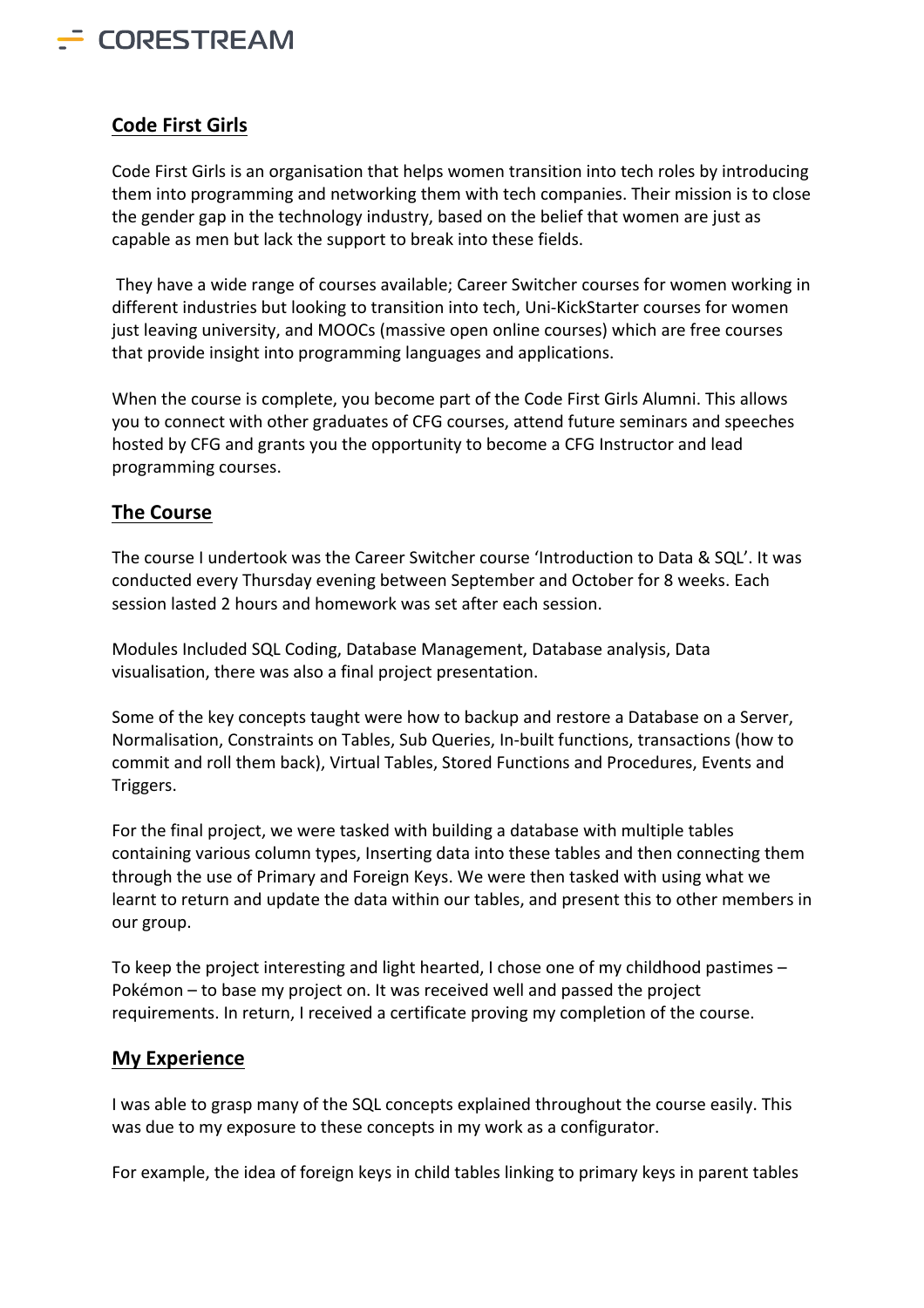

## **Code First Girls**

Code First Girls is an organisation that helps women transition into tech roles by introducing them into programming and networking them with tech companies. Their mission is to close the gender gap in the technology industry, based on the belief that women are just as capable as men but lack the support to break into these fields.

They have a wide range of courses available; Career Switcher courses for women working in different industries but looking to transition into tech, Uni-KickStarter courses for women just leaving university, and MOOCs (massive open online courses) which are free courses that provide insight into programming languages and applications.

When the course is complete, you become part of the Code First Girls Alumni. This allows you to connect with other graduates of CFG courses, attend future seminars and speeches hosted by CFG and grants you the opportunity to become a CFG Instructor and lead programming courses.

## **The Course**

The course I undertook was the Career Switcher course 'Introduction to Data & SQL'. It was conducted every Thursday evening between September and October for 8 weeks. Each session lasted 2 hours and homework was set after each session.

Modules Included SQL Coding, Database Management, Database analysis, Data visualisation, there was also a final project presentation.

Some of the key concepts taught were how to backup and restore a Database on a Server, Normalisation, Constraints on Tables, Sub Queries, In-built functions, transactions (how to commit and roll them back), Virtual Tables, Stored Functions and Procedures, Events and Triggers.

For the final project, we were tasked with building a database with multiple tables containing various column types, Inserting data into these tables and then connecting them through the use of Primary and Foreign Keys. We were then tasked with using what we learnt to return and update the data within our tables, and present this to other members in our group.

To keep the project interesting and light hearted, I chose one of my childhood pastimes – Pokémon – to base my project on. It was received well and passed the project requirements. In return, I received a certificate proving my completion of the course.

## **My Experience**

I was able to grasp many of the SQL concepts explained throughout the course easily. This was due to my exposure to these concepts in my work as a configurator.

For example, the idea of foreign keys in child tables linking to primary keys in parent tables